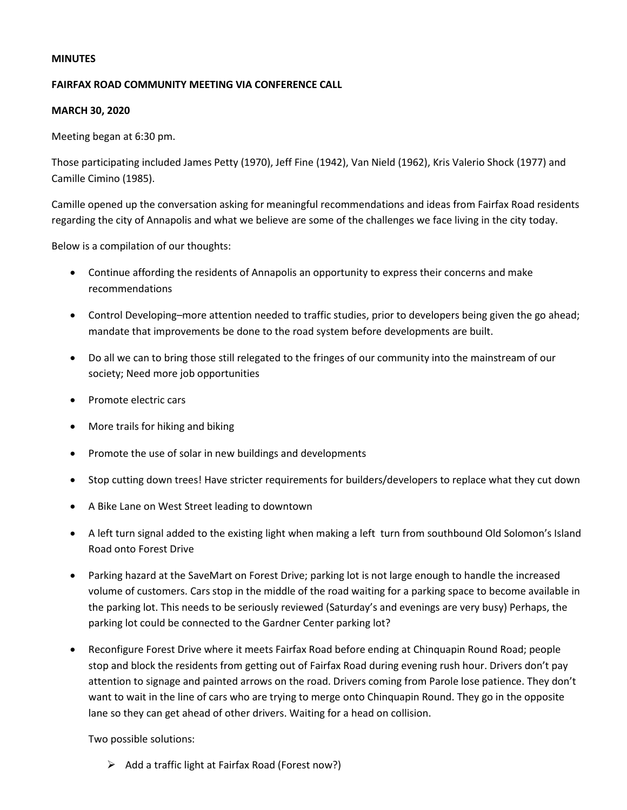## **MINUTES**

## **FAIRFAX ROAD COMMUNITY MEETING VIA CONFERENCE CALL**

## **MARCH 30, 2020**

Meeting began at 6:30 pm.

Those participating included James Petty (1970), Jeff Fine (1942), Van Nield (1962), Kris Valerio Shock (1977) and Camille Cimino (1985).

Camille opened up the conversation asking for meaningful recommendations and ideas from Fairfax Road residents regarding the city of Annapolis and what we believe are some of the challenges we face living in the city today.

Below is a compilation of our thoughts:

- Continue affording the residents of Annapolis an opportunity to express their concerns and make recommendations
- Control Developing–more attention needed to traffic studies, prior to developers being given the go ahead; mandate that improvements be done to the road system before developments are built.
- Do all we can to bring those still relegated to the fringes of our community into the mainstream of our society; Need more job opportunities
- Promote electric cars
- More trails for hiking and biking
- Promote the use of solar in new buildings and developments
- Stop cutting down trees! Have stricter requirements for builders/developers to replace what they cut down
- A Bike Lane on West Street leading to downtown
- A left turn signal added to the existing light when making a left turn from southbound Old Solomon's Island Road onto Forest Drive
- Parking hazard at the SaveMart on Forest Drive; parking lot is not large enough to handle the increased volume of customers. Cars stop in the middle of the road waiting for a parking space to become available in the parking lot. This needs to be seriously reviewed (Saturday's and evenings are very busy) Perhaps, the parking lot could be connected to the Gardner Center parking lot?
- Reconfigure Forest Drive where it meets Fairfax Road before ending at Chinquapin Round Road; people stop and block the residents from getting out of Fairfax Road during evening rush hour. Drivers don't pay attention to signage and painted arrows on the road. Drivers coming from Parole lose patience. They don't want to wait in the line of cars who are trying to merge onto Chinquapin Round. They go in the opposite lane so they can get ahead of other drivers. Waiting for a head on collision.

Two possible solutions:

 $\triangleright$  Add a traffic light at Fairfax Road (Forest now?)